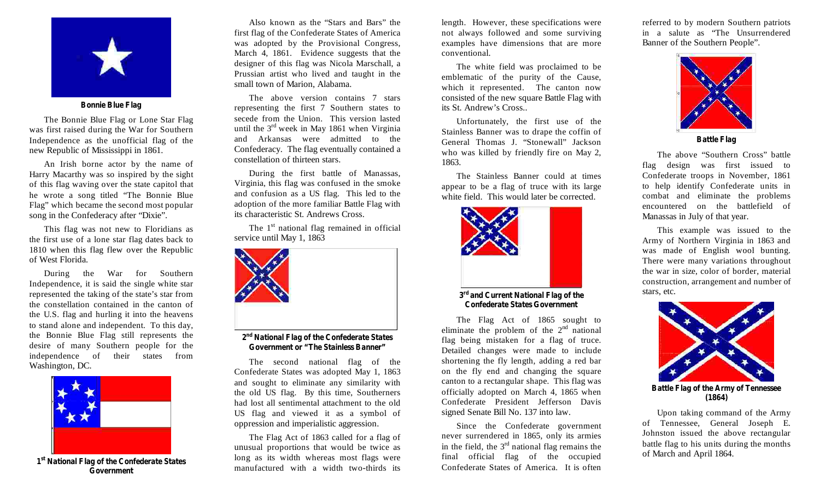

**Bonnie Blue Flag**

The Bonnie Blue Flag or Lone Star Flag was first raised during the War for Southern Independence as the unofficial flag of the new Republic of Mississippi in 1861.

An Irish borne actor by the name of Harry Macarthy was so inspired by the sight of this flag waving over the state capitol that he wrote a song titled "The Bonnie Blue Flag" which became the second most popular song in the Confederacy after "Dixie".

This flag was not new to Floridians as the first use of a lone star flag dates back to 1810 when this flag flew over the Republic of West Florida.

During the War for Southern Independence, it is said the single white star represented the taking of the state's star from the constellation contained in the canton of the U.S. flag and hurling it into the heavens to stand alone and independent. To this day, the Bonnie Blue Flag still represents the desire of many Southern people for the independence of their states from Washington, DC.



**1 st National Flag of the Confederate States Government**

Also known as the "Stars and Bars" the first flag of the Confederate States of America was adopted by the Provisional Congress, March 4, 1861. Evidence suggests that the designer of this flag was Nicola Marschall, a Prussian artist who lived and taught in the small town of Marion, Alabama.

The above version contains 7 stars representing the first 7 Southern states to secede from the Union. This version lasted until the  $3^{rd}$  week in May 1861 when Virginia and Arkansas were admitted to the Confederacy. The flag eventually contained a constellation of thirteen stars.

During the first battle of Manassas, Virginia, this flag was confused in the smoke and confusion as a US flag. This led to the adoption of the more familiar Battle Flag with its characteristic St. Andrews Cross.

The  $1<sup>st</sup>$  national flag remained in official service until May 1, 1863



**2 nd National Flag of the Confederate States Government or "The Stainless Banner"**

The second national flag of the Confederate States was adopted May 1, 1863 and sought to eliminate any similarity with the old US flag. By this time, Southerners had lost all sentimental attachment to the old US flag and viewed it as a symbol of oppression and imperialistic aggression.

The Flag Act of 1863 called for a flag of unusual proportions that would be twice as long as its width whereas most flags were manufactured with a width two-thirds its

length. However, these specifications were not always followed and some surviving examples have dimensions that are more conventional.

The white field was proclaimed to be emblematic of the purity of the Cause, which it represented. The canton now consisted of the new square Battle Flag with its St. Andrew's Cross..

Unfortunately, the first use of the Stainless Banner was to drape the coffin of General Thomas J. "Stonewall" Jackson who was killed by friendly fire on May 2, 1863.

The Stainless Banner could at times appear to be a flag of truce with its large white field. This would later be corrected.



**3 rd and Current National Flag of the Confederate States Government**

The Flag Act of 1865 sought to eliminate the problem of the  $2<sup>nd</sup>$  national flag being mistaken for a flag of truce. Detailed changes were made to include shortening the fly length, adding a red bar on the fly end and changing the square canton to a rectangular shape. This flag was officially adopted on March 4, 1865 when Confederate President Jefferson Davis signed Senate Bill No. 137 into law.

Since the Confederate government never surrendered in 1865, only its armies in the field, the  $3<sup>rd</sup>$  national flag remains the final official flag of the occupied Confederate States of America. It is often

referred to by modern Southern patriots in a salute as "The Unsurrendered Banner of the Southern People".



**Battle Flag**

The above "Southern Cross" battle flag design was first issued to Confederate troops in November, 1861 to help identify Confederate units in combat and eliminate the problems encountered on the battlefield of Manassas in July of that year.

This example was issued to the Army of Northern Virginia in 1863 and was made of English wool bunting. There were many variations throughout the war in size, color of border, material construction, arrangement and number of stars, etc.



**Battle Flag of the Army of Tennessee (1864)**

Upon taking command of the Army of Tennessee, General Joseph E. Johnston issued the above rectangular battle flag to his units during the months of March and April 1864.